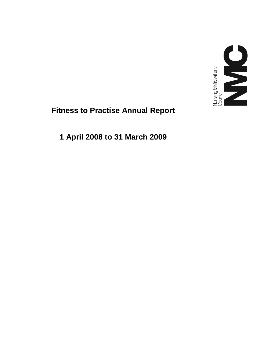

# **Fitness to Practise Annual Report**

**1 April 2008 to 31 March 2009**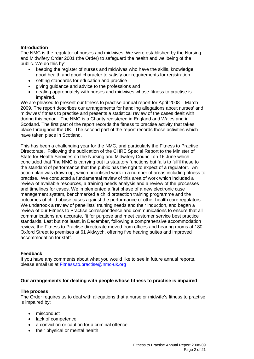# **Introduction**

The NMC is the regulator of nurses and midwives. We were established by the Nursing and Midwifery Order 2001 (the Order) to safeguard the health and wellbeing of the public. We do this by:

- keeping the register of nurses and midwives who have the skills, knowledge, good health and good character to satisfy our requirements for registration
- setting standards for education and practice
- giving guidance and advice to the professions and
- dealing appropriately with nurses and midwives whose fitness to practise is impaired.

We are pleased to present our fitness to practise annual report for April 2008 – March 2009. The report describes our arrangements for handling allegations about nurses' and midwives' fitness to practise and presents a statistical review of the cases dealt with during this period. The NMC is a Charity registered in England and Wales and in Scotland. The first part of the report records the fitness to practise activity that takes place throughout the UK. The second part of the report records those activities which have taken place in Scotland.

This has been a challenging year for the NMC, and particularly the Fitness to Practise Directorate. Following the publication of the CHRE Special Report to the Minister of State for Health Services on the Nursing and Midwifery Council on 16 June which concluded that "the NMC is carrying out its statutory functions but fails to fulfil these to the standard of performance that the public has the right to expect of a regulator". An action plan was drawn up, which prioritised work in a number of areas including fitness to practise. We conducted a fundamental review of this area of work which included a review of available resources, a training needs analysis and a review of the processes and timelines for cases. We implemented a first phase of a new electronic case management system, benchmarked a child protection training programme and the outcomes of child abuse cases against the performance of other health care regulators. We undertook a review of panellists' training needs and their induction, and began a review of our Fitness to Practise correspondence and communications to ensure that all communications are accurate, fit for purpose and meet customer service best practice standards. Last but not least, in December, following a comprehensive accommodation review, the Fitness to Practise directorate moved from offices and hearing rooms at 180 Oxford Street to premises at 61 Aldwych, offering five hearing suites and improved accommodation for staff.

# **Feedback**

If you have any comments about what you would like to see in future annual reports, please email us at Fitness.to.practise@nmc-uk.org

# **Our arrangements for dealing with people whose fitness to practise is impaired**

# **The process**

The Order requires us to deal with allegations that a nurse or midwife's fitness to practise is impaired by:

- misconduct
- lack of competence
- a conviction or caution for a criminal offence
- their physical or mental health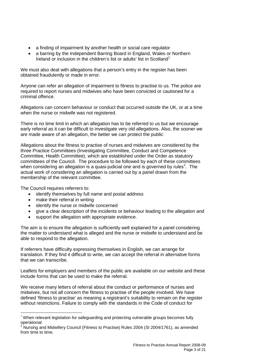- a finding of impairment by another health or social care regulator
- a barring by the Independent Barring Board in England, Wales or Northern Ireland or inclusion in the children's list or adults' list in Scotland<sup>1</sup>

We must also deal with allegations that a person's entry in the register has been obtained fraudulently or made in error.

Anyone can refer an allegation of impairment to fitness to practise to us. The police are required to report nurses and midwives who have been convicted or cautioned for a criminal offence.

Allegations can concern behaviour or conduct that occurred outside the UK, or at a time when the nurse or midwife was not registered.

There is no time limit in which an allegation has to be referred to us but we encourage early referral as it can be difficult to investigate very old allegations. Also, the sooner we are made aware of an allegation, the better we can protect the public

Allegations about the fitness to practise of nurses and midwives are considered by the three Practice Committees (Investigating Committee, Conduct and Competence Committee, Health Committee), which are established under the Order as statutory committees of the Council. The procedure to be followed by each of these committees when considering an allegation is a quasi-judicial one and is governed by rules<sup>2</sup>. The actual work of considering an allegation is carried out by a panel drawn from the membership of the relevant committee.

The Council requires referrers to:

- identify themselves by full name and postal address
- make their referral in writing
- identify the nurse or midwife concerned
- give a clear description of the incidents or behaviour leading to the allegation and
- support the allegation with appropriate evidence.

The aim is to ensure the allegation is sufficiently well explained for a panel considering the matter to understand what is alleged and the nurse or midwife to understand and be able to respond to the allegation.

If referrers have difficulty expressing themselves in English, we can arrange for translation. If they find it difficult to write, we can accept the referral in alternative forms that we can transcribe.

Leaflets for employers and members of the public are available on our website and these include forms that can be used to make the referral.

We receive many letters of referral about the conduct or performance of nurses and midwives, but not all concern the fitness to practise of the people involved. We have defined 'fitness to practise' as meaning a registrant's suitability to remain on the register without restrictions. Failure to comply with the standards in the Code of conduct for

 $1$  When relevant legislation for safeguarding and protecting vulnerable groups becomes fully operational

<sup>.&</sup>lt;br>Nursing and Midwifery Council (Fitness to Practise) Rules 2004 (SI 2004/1761), as amended from time to time.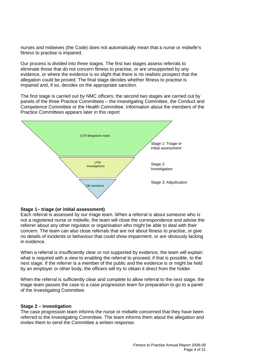nurses and midwives (the Code) does not automatically mean that a nurse or midwife's fitness to practise is impaired.

Our process is divided into three stages. The first two stages assess referrals to eliminate those that do not concern fitness to practise, or are unsupported by any evidence, or where the evidence is so slight that there is no realistic prospect that the allegation could be proved. The final stage decides whether fitness to practise is impaired and, if so, decides on the appropriate sanction.

The first stage is carried out by NMC officers; the second two stages are carried out by panels of the three Practice Committees – the Investigating Committee, the Conduct and Competence Committee or the Health Committee. Information about the members of the Practice Committees appears later in this report



## **Stage 1– triage (or initial assessment)**

Each referral is assessed by our triage team. When a referral is about someone who is not a registered nurse or midwife, the team will close the correspondence and advise the referrer about any other regulator or organisation who might be able to deal with their concern. The team can also close referrals that are not about fitness to practise, or give no details of incidents or behaviour that could show impairment, or are obviously lacking in evidence.

When a referral is insufficiently clear or not supported by evidence, the team will explain what is required with a view to enabling the referral to proceed, if that is possible, to the next stage. If the referrer is a member of the public and the evidence is or might be held by an employer or other body, the officers will try to obtain it direct from the holder.

When the referral is sufficiently clear and complete to allow referral to the next stage, the triage team passes the case to a case progression team for preparation to go to a panel of the Investigating Committee.

#### **Stage 2 – investigation**

The case progression team informs the nurse or midwife concerned that they have been referred to the Investigating Committee. The team informs them about the allegation and invites them to send the Committee a written response.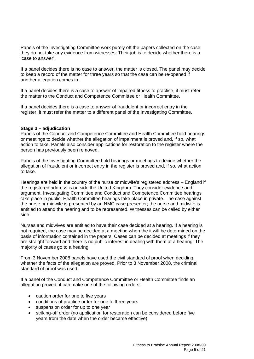Panels of the Investigating Committee work purely off the papers collected on the case; they do not take any evidence from witnesses. Their job is to decide whether there is a 'case to answer'.

If a panel decides there is no case to answer, the matter is closed. The panel may decide to keep a record of the matter for three years so that the case can be re-opened if another allegation comes in.

If a panel decides there is a case to answer of impaired fitness to practise, it must refer the matter to the Conduct and Competence Committee or Health Committee.

If a panel decides there is a case to answer of fraudulent or incorrect entry in the register, it must refer the matter to a different panel of the Investigating Committee.

## **Stage 3 – adjudication**

Panels of the Conduct and Competence Committee and Health Committee hold hearings or meetings to decide whether the allegation of impairment is proved and, if so, what action to take. Panels also consider applications for restoration to the register where the person has previously been removed.

Panels of the Investigating Committee hold hearings or meetings to decide whether the allegation of fraudulent or incorrect entry in the register is proved and, if so, what action to take.

Hearings are held in the country of the nurse or midwife's registered address – England if the registered address is outside the United Kingdom. They consider evidence and argument. Investigating Committee and Conduct and Competence Committee hearings take place in public; Health Committee hearings take place in private. The case against the nurse or midwife is presented by an NMC case presenter; the nurse and midwife is entitled to attend the hearing and to be represented. Witnesses can be called by either side.

Nurses and midwives are entitled to have their case decided at a hearing. If a hearing is not required, the case may be decided at a meeting when the it will be determined on the basis of information contained in the papers. Cases can be decided at meetings if they are straight forward and there is no public interest in dealing with them at a hearing. The majority of cases go to a hearing.

From 3 November 2008 panels have used the civil standard of proof when deciding whether the facts of the allegation are proved. Prior to 3 November 2008, the criminal standard of proof was used.

If a panel of the Conduct and Competence Committee or Health Committee finds an allegation proved, it can make one of the following orders:

- caution order for one to five years
- conditions of practice order for one to three years
- suspension order for up to one year
- striking-off order (no application for restoration can be considered before five years from the date when the order became effective)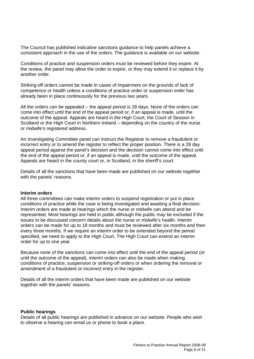The Council has published indicative sanctions guidance to help panels achieve a consistent approach in the use of the orders. The guidance is available on our website.

Conditions of practice and suspension orders must be reviewed before they expire. At the review, the panel may allow the order to expire, or they may extend it or replace it by another order.

Striking-off orders cannot be made in cases of impairment on the grounds of lack of competence or health unless a conditions of practice order or suspension order has already been in place continuously for the previous two years.

All the orders can be appealed – the appeal period is 28 days. None of the orders can come into effect until the end of the appeal period or, if an appeal is made, until the outcome of the appeal. Appeals are heard in the High Court, the Court of Session in Scotland or the High Court in Northern Ireland – depending on the country of the nurse or midwife's registered address.

An Investigating Committee panel can instruct the Registrar to remove a fraudulent or incorrect entry or to amend the register to reflect the proper position. There is a 28 day appeal period against the panel's decision and the decision cannot come into effect until the end of the appeal period or, if an appeal is made, until the outcome of the appeal. Appeals are heard in the county court or, in Scotland, in the sheriff's court.

Details of all the sanctions that have been made are published on our website together with the panels' reasons.

#### **Interim orders**

All three committees can make interim orders to suspend registration or put in place conditions of practice while the case is being investigated and awaiting a final decision. Interim orders are made at hearings which the nurse or midwife can attend and be represented. Most hearings are held in public although the public may be excluded if the issues to be discussed concern details about the nurse or midwife's health. Interim orders can be made for up to 18 months and must be reviewed after six months and then every three months. If we require an interim order to be extended beyond the period specified, we need to apply to the High Court. The High Court can extend an interim order for up to one year.

Because none of the sanctions can come into effect until the end of the appeal period (or until the outcome of the appeal), interim orders can also be made when making conditions of practice, suspension or striking-off orders or when ordering the removal or amendment of a fraudulent or incorrect entry in the register.

Details of all the interim orders that have been made are published on our website together with the panels' reasons.

#### **Public hearings**

Details of all public hearings are published in advance on our website. People who wish to observe a hearing can email us or phone to book a place.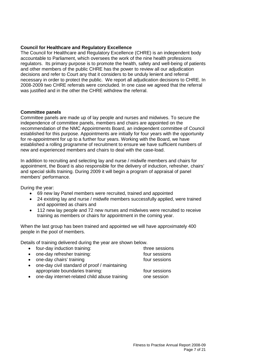## **Council for Healthcare and Regulatory Excellence**

The Council for Healthcare and Regulatory Excellence (CHRE) is an independent body accountable to Parliament, which oversees the work of the nine health professions regulators. Its primary purpose is to promote the health, safety and well-being of patients and other members of the public CHRE has the power to review all our adjudication decisions and refer to Court any that it considers to be unduly lenient and referral necessary in order to protect the public. We report all adjudication decisions to CHRE. In 2008-2009 two CHRE referrals were concluded. In one case we agreed that the referral was justified and in the other the CHRE withdrew the referral.

#### **Committee panels**

Committee panels are made up of lay people and nurses and midwives. To secure the independence of committee panels, members and chairs are appointed on the recommendation of the NMC Appointments Board, an independent committee of Council established for this purpose. Appointments are initially for four years with the opportunity for re-appointment for up to a further four years. Working with the Board, we have established a rolling programme of recruitment to ensure we have sufficient numbers of new and experienced members and chairs to deal with the case-load.

In addition to recruiting and selecting lay and nurse / midwife members and chairs for appointment, the Board is also responsible for the delivery of induction, refresher, chairs' and special skills training. During 2009 it will begin a program of appraisal of panel members' performance.

During the year:

- 69 new lay Panel members were recruited, trained and appointed
- 24 existing lay and nurse / midwife members successfully applied, were trained and appointed as chairs and
- 112 new lay people and 72 new nurses and midwives were recruited to receive training as members or chairs for appointment in the coming year.

When the last group has been trained and appointed we will have approximately 400 people in the pool of members.

Details of training delivered during the year are shown below.

|           | • four-day induction training:                | three sessions |
|-----------|-----------------------------------------------|----------------|
|           | • one-day refresher training:                 | four sessions  |
|           | • one-day chairs' training                    | four sessions  |
| $\bullet$ | one-day civil standard of proof / maintaining |                |
|           | appropriate boundaries training:              | four sessions  |
| $\bullet$ | one-day internet-related child abuse training | one session    |

one-day internet-related child abuse training one session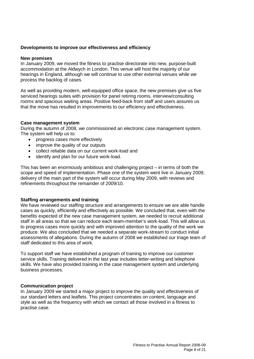## **Developments to improve our effectiveness and efficiency**

#### **New premises**

In January 2009, we moved the fitness to practise directorate into new, purpose-built accommodation at the Aldwych in London. This venue will host the majority of our hearings in England, although we will continue to use other external venues while we process the backlog of cases.

As well as providing modern, well-equipped office space, the new premises give us five serviced hearings suites with provision for panel retiring rooms, interview/consulting rooms and spacious waiting areas. Positive feed-back from staff and users assures us that the move has resulted in improvements to our efficiency and effectiveness.

## **Case management system**

During the autumn of 2008, we commissioned an electronic case management system. The system will help us to:

- progress cases more effectively
- improve the quality of our outputs
- collect reliable data on our current work-load and
- identify and plan for our future work-load.

This has been an enormously ambitious and challenging project – in terms of both the scope and speed of implementation. Phase one of the system went live in January 2009; delivery of the main part of the system will occur during May 2009, with reviews and refinements throughout the remainder of 2009/10.

#### **Staffing arrangements and training**

We have reviewed our staffing structure and arrangements to ensure we are able handle cases as quickly, efficiently and effectively as possible. We concluded that, even with the benefits expected of the new case management system, we needed to recruit additional staff in all areas so that we can reduce each team-member's work-load. This will allow us to progress cases more quickly and with improved attention to the quality of the work we produce. We also concluded that we needed a separate work-stream to conduct initial assessments of allegations. During the autumn of 2008 we established our triage team of staff dedicated to this area of work.

To support staff we have established a program of training to improve our customer service skills. Training delivered in the last year includes letter-writing and telephone skills. We have also provided training in the case management system and underlying business processes.

#### **Communication project**

In January 2009 we started a major project to improve the quality and effectiveness of our standard letters and leaflets. This project concentrates on content, language and style as well as the frequency with which we contact all those involved in a fitness to practise case.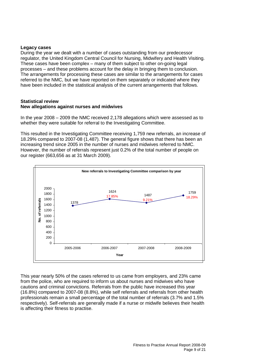## **Legacy cases**

During the year we dealt with a number of cases outstanding from our predecessor regulator, the United Kingdom Central Council for Nursing, Midwifery and Health Visiting. These cases have been complex – many of them subject to other on-going legal processes – and these problems account for the delay in bringing them to conclusion. The arrangements for processing these cases are similar to the arrangements for cases referred to the NMC, but we have reported on them separately or indicated where they have been included in the statistical analysis of the current arrangements that follows.

## **Statistical review New allegations against nurses and midwives**

In the year 2008 – 2009 the NMC received 2,178 allegations which were assessed as to whether they were suitable for referral to the Investigating Committee.

This resulted in the Investigating Committee receiving 1,759 new referrals, an increase of 18.29% compared to 2007-08 (1,487). The general figure shows that there has been an increasing trend since 2005 in the number of nurses and midwives referred to NMC. However, the number of referrals represent just 0.2% of the total number of people on our register (663,656 as at 31 March 2009).



This year nearly 50% of the cases referred to us came from employers, and 23% came from the police, who are required to inform us about nurses and midwives who have cautions and criminal convictions. Referrals from the public have increased this year (16.8%) compared to 2007-08 (8.8%), while self referrals and referrals from other health professionals remain a small percentage of the total number of referrals (3.7% and 1.5% respectively). Self-referrals are generally made if a nurse or midwife believes their health is affecting their fitness to practise.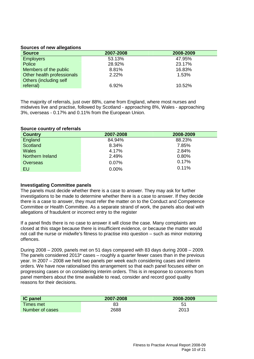## **Sources of new allegations**

| <b>Source</b>              | 2007-2008 | 2008-2009 |
|----------------------------|-----------|-----------|
| <b>Employers</b>           | 53.13%    | 47.95%    |
| Police                     | 28.92%    | 23.17%    |
| Members of the public      | 8.81%     | 16.83%    |
| Other health professionals | 2.22%     | 1.53%     |
| Others (including self     |           |           |
| referral)                  | 6.92%     | 10.52%    |

The majority of referrals, just over 88%, came from England, where most nurses and midwives live and practise, followed by Scotland - approaching 8%, Wales - approaching 3%, overseas - 0.17% and 0.11% from the European Union.

#### **Source country of referrals**

| <b>Country</b>   | 2007-2008 | 2008-2009 |
|------------------|-----------|-----------|
| England          | 84.94%    | 88.23%    |
| Scotland         | 8.34%     | 7.85%     |
| Wales            | 4.17%     | 2.84%     |
| Northern Ireland | 2.49%     | 0.80%     |
| Overseas         | 0.07%     | 0.17%     |
| EU               | 0.00%     | 0.11%     |

#### **Investigating Committee panels**

The panels must decide whether there is a case to answer. They may ask for further investigations to be made to determine whether there is a case to answer. If they decide there is a case to answer, they must refer the matter on to the Conduct and Competence Committee or Health Committee. As a separate strand of work, the panels also deal with allegations of fraudulent or incorrect entry to the register

If a panel finds there is no case to answer it will close the case. Many complaints are closed at this stage because there is insufficient evidence, or because the matter would not call the nurse or midwife's fitness to practise into question – such as minor motoring offences.

During 2008 – 2009, panels met on 51 days compared with 83 days during 2008 – 2009. The panels considered 2013\* cases – roughly a quarter fewer cases than in the previous year. In 2007 – 2008 we held two panels per week each considering cases and interim orders. We have now rationalised this arrangement so that each panel focuses either on progressing cases or on considering interim orders. This is in response to concerns from panel members about the time available to read, consider and record good quality reasons for their decisions.

| <b>IC panel</b> | 2007-2008 | 2008-2009      |
|-----------------|-----------|----------------|
| Times met       | 83        | 5 <sup>1</sup> |
| Number of cases | 2688      | 2013           |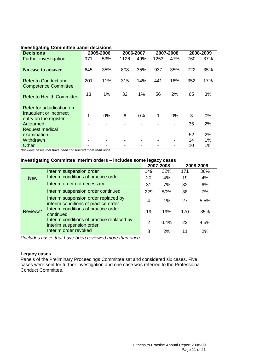## **Investigating Committee panel decisions**

| <b>Decisions</b>                                    |     | 2005-2006                |      | 2006-2007 | 2007-2008 |                          | 2008-2009 |     |
|-----------------------------------------------------|-----|--------------------------|------|-----------|-----------|--------------------------|-----------|-----|
| <b>Further investigation</b>                        | 971 | 53%                      | 1126 | 49%       | 1253      | 47%                      | 760       | 37% |
| No case to answer                                   | 645 | 35%                      | 808  | 35%       | 937       | 35%                      | 722       | 35% |
| Refer to Conduct and<br><b>Competence Committee</b> | 201 | 11%                      | 315  | 14%       | 441       | 16%                      | 352       | 17% |
| <b>Refer to Health Committee</b>                    | 13  | 1%                       | 32   | 1%        | 56        | 2%                       | 65        | 3%  |
| Refer for adjudication on                           |     |                          |      |           |           |                          |           |     |
| fraudulent or incorrect<br>entry on the register    | 1   | 0%                       | 6    | 0%        | 1         | 0%                       | 3         | 0%  |
| Adjourned<br><b>Request medical</b>                 |     |                          |      |           |           | $\overline{\phantom{a}}$ | 35        | 2%  |
| examination                                         |     | $\,$                     |      |           |           |                          | 52        | 2%  |
| Withdrawn                                           |     | $\overline{\phantom{0}}$ |      |           | -         | $\blacksquare$           | 14        | 1%  |
| Other                                               |     |                          |      |           |           |                          | 10        | 1%  |

\**Includes cases that have been considered more than once*

## **Investigating Committee interim orders – includes some legacy cases**

|            |                                                                              |               | 2007-2008 |     | 2008-2009 |
|------------|------------------------------------------------------------------------------|---------------|-----------|-----|-----------|
|            | Interim suspension order                                                     | 149           | 32%       | 171 | 36%       |
| <b>New</b> | Interim conditions of practice order                                         | 20            | 4%        | 19  | 4%        |
|            | Interim order not necessary                                                  | 31            | 7%        | 32  | 6%        |
|            | Interim suspension order continued                                           | 229           | 50%       | 38  | 7%        |
|            | Interim suspension order replaced by<br>interim conditions of practice order | 4             | 1%        | 27  | 5.5%      |
| Reviews*   | Interim conditions of practice order<br>continued                            | 19            | 19%       | 170 | 35%       |
|            | Interim conditions of practice replaced by<br>interim suspension order       | $\mathcal{P}$ | 0.4%      | 22  | 4.5%      |
|            | Interim order revoked                                                        | 8             | 2%        | 11  | 2%        |

*\*Includes cases that have been reviewed more than once*

## **Legacy cases**

Panels of the Preliminary Proceedings Committee sat and considered six cases. Five cases were sent for further investigation and one case was referred to the Professional Conduct Committee.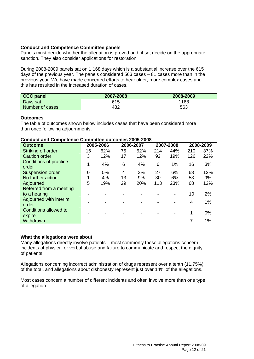## **Conduct and Competence Committee panels**

Panels must decide whether the allegation is proved and, if so, decide on the appropriate sanction. They also consider applications for restoration.

During 2008-2009 panels sat on 1,168 days which is a substantial increase over the 615 days of the previous year. The panels considered 563 cases – 81 cases more than in the previous year. We have made concerted efforts to hear older, more complex cases and this has resulted in the increased duration of cases.

| <b>CCC panel</b> | 2007-2008 | 2008-2009 |
|------------------|-----------|-----------|
| Days sat         | 615       | 1168      |
| Number of cases  | 482       | 563       |

## **Outcomes**

The table of outcomes shown below includes cases that have been considered more than once following adjournments.

#### **Conduct and Competence Committee outcomes 2005-2008**

| <b>Outcome</b>                  | 2005-2006<br>2006-2007 |     |    |     | 2007-2008 | 2008-2009 |     |     |
|---------------------------------|------------------------|-----|----|-----|-----------|-----------|-----|-----|
| Striking off order              | 16                     | 62% | 75 | 52% | 214       | 44%       | 210 | 37% |
| <b>Caution order</b>            | 3                      | 12% | 17 | 12% | 92        | 19%       | 126 | 22% |
| Conditions of practice<br>order | 1                      | 4%  | 6  | 4%  | 6         | 1%        | 16  | 3%  |
| <b>Suspension order</b>         | 0                      | 0%  | 4  | 3%  | 27        | 6%        | 68  | 12% |
| No further action               | 1                      | 4%  | 13 | 9%  | 30        | 6%        | 53  | 9%  |
| Adjourned                       | 5                      | 19% | 29 | 20% | 113       | 23%       | 68  | 12% |
| Referred from a meeting         |                        |     |    |     |           |           |     |     |
| to a hearing                    |                        |     |    |     |           |           | 10  | 2%  |
| Adjourned with interim<br>order |                        |     |    |     |           |           | 4   | 1%  |
| Conditions allowed to<br>expire |                        |     |    |     |           |           |     | 0%  |
| Withdrawn                       |                        |     |    |     |           |           |     | 1%  |

# **What the allegations were about**

Many allegations directly involve patients – most commonly these allegations concern incidents of physical or verbal abuse and failure to communicate and respect the dignity of patients.

Allegations concerning incorrect administration of drugs represent over a tenth (11.75%) of the total, and allegations about dishonesty represent just over 14% of the allegations.

Most cases concern a number of different incidents and often involve more than one type of allegation.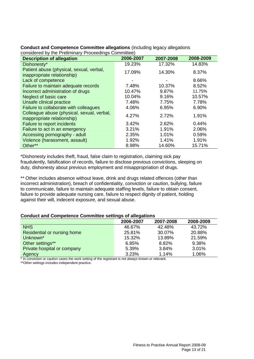| <b>Description of allegation</b>                                          | 2006-2007 | 2007-2008 | 2008-2009 |
|---------------------------------------------------------------------------|-----------|-----------|-----------|
| Dishonesty*                                                               | 19.23%    | 17.32%    | 14.83%    |
| Patient abuse (physical, sexual, verbal,<br>inappropriate relationship)   | 17.09%    | 14.30%    | 8.37%     |
| Lack of competence                                                        | -         |           | 8.66%     |
| Failure to maintain adequate records                                      | 7.48%     | 10.37%    | 8.52%     |
| Incorrect administration of drugs                                         | 10.47%    | 9.87%     | 11.75%    |
| Neglect of basic care                                                     | 10.04%    | 9.16%     | 10.57%    |
| Unsafe clinical practice                                                  | 7.48%     | 7.75%     | 7.78%     |
| Failure to collaborate with colleagues                                    | 4.06%     | 6.95%     | 6.90%     |
| Colleague abuse (physical, sexual, verbal,<br>inappropriate relationship) | 4.27%     | 2.72%     | 1.91%     |
| Failure to report incidents                                               | 3.42%     | 2.62%     | 0.44%     |
| Failure to act in an emergency                                            | 3.21%     | 1.91%     | 2.06%     |
| Accessing pornography - adult                                             | 2.35%     | 1.01%     | 0.59%     |
| Violence (harassment, assault)                                            | 1.92%     | 1.41%     | 1.91%     |
| Other**                                                                   | 8.98%     | 14.60%    | 15.71%    |

#### **Conduct and Competence Committee allegations** (including legacy allegations considered by the Preliminary Proceedings Committee)

\*Dishonesty includes theft, fraud, false claim to registration, claiming sick pay fraudulently, falsification of records, failure to disclose previous convictions, sleeping on duty, dishonesty about previous employment and misappropriation of drugs.

\*\* Other includes absence without leave, drink and drugs related offences (other than incorrect administration), breach of confidentiality, conviction or caution, bullying, failure to communicate, failure to maintain adequate staffing levels, failure to obtain consent, failure to provide adequate nursing care, failure to respect dignity of patient, holding against their will, indecent exposure, and sexual abuse.

# **Conduct and Competence Committee settings of allegations**

|                             | 2006-2007 | 2007-2008 | 2008-2009 |
|-----------------------------|-----------|-----------|-----------|
| <b>NHS</b>                  | 46.67%    | 42.48%    | 43.72%    |
| Residential or nursing home | 25.81%    | 30.07%    | 20.88%    |
| Unknown*                    | 15.32%    | 13.89%    | 21.59%    |
| Other settings**            | 6.85%     | 8.82%     | 9.38%     |
| Private hospital or company | 5.39%     | 3.84%     | 3.01%     |
| <b>Agency</b>               | 3.23%     | 1.14%     | 1.06%     |

\* In conviction or caution cases the work setting of the registrant is not always known or relevant.

\*\*Other settings includes independent practice.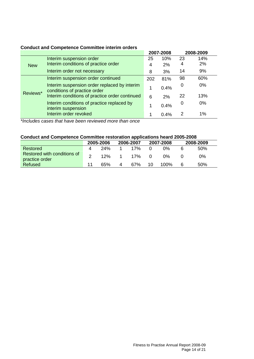# **Conduct and Competence Committee interim orders**

|            |                                                                              |     | 2007-2008 |    | 2008-2009 |
|------------|------------------------------------------------------------------------------|-----|-----------|----|-----------|
|            | Interim suspension order                                                     | 25  | 10%       | 23 | 14%       |
| <b>New</b> | Interim conditions of practice order                                         | 4   | 2%        | 4  | 2%        |
|            | Interim order not necessary                                                  | 8   | 3%        | 14 | 9%        |
|            | Interim suspension order continued                                           | 202 | 81%       | 98 | 60%       |
| Reviews*   | Interim suspension order replaced by interim<br>conditions of practice order |     | 0.4%      | 0  | 0%        |
|            | Interim conditions of practice order continued                               | 6   | 2%        | 22 | 13%       |
|            | Interim conditions of practice replaced by<br>interim suspension             |     | 0.4%      | 0  | 0%        |
|            | Interim order revoked                                                        |     | 0.4%      | 2  | 1%        |

*\*Includes cases that have been reviewed more than once*

# **Conduct and Competence Committee restoration applications heard 2005-2008**

|                                               |   | 2005-2006 |   | 2006-2007 |          | 2007-2008 |  | 2008-2009 |
|-----------------------------------------------|---|-----------|---|-----------|----------|-----------|--|-----------|
| Restored                                      | 4 | 24%       |   | 17%       |          | 0%        |  | 50%       |
| Restored with conditions of<br>practice order |   | 12%       |   | 17%       | $\Omega$ | 0%        |  | 0%        |
| Refused                                       |   | 65%       | 4 | 67%       | 10       | 100%      |  | 50%       |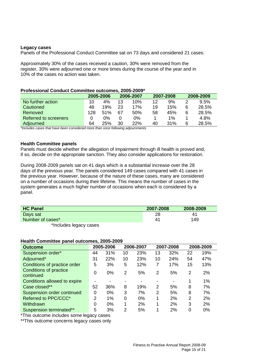#### **Legacy cases**

Panels of the Professional Conduct Committee sat on 73 days and considered 21 cases.

Approximately 30% of the cases received a caution, 30% were removed from the register, 30% were adjourned one or more times during the course of the year and in 10% of the cases no action was taken.

## **Professional Conduct Committee outcomes, 2005-2009\***

|                              |     | 2005-2006 |    | 2006-2007 |    | 2007-2008 |   | 2008-2009 |
|------------------------------|-----|-----------|----|-----------|----|-----------|---|-----------|
| No further action            | 10  | 4%        | 13 | 10%       | 12 | 9%        |   | 9.5%      |
| Cautioned                    | 48  | 19%       | 23 | 17%       | 19 | 15%       |   | 28.5%     |
| Removed                      | 128 | 51%       | 67 | 50%       | 58 | 45%       |   | 28.5%     |
| <b>Referred to screeners</b> |     | 0%        |    | 0%        |    | 1%        |   | 4.8%      |
| Adjourned                    | 64  | 25%       | 30 | 22%       | 40 | 31%       | 6 | 28.5%     |

*\*Includes cases that have been considered more than once following adjournments*

#### **Health Committee panels**

Panels must decide whether the allegation of impairment through ill health is proved and, if so, decide on the appropriate sanction. They also consider applications for restoration.

During 2008-2009 panels sat on 41 days which is a substantial increase over the 28 days of the previous year. The panels considered 149 cases compared with 41 cases in the previous year. However, because of the nature of these cases, many are considered on a number of occasions during their lifetime. This means the number of cases in the system generates a much higher number of occasions when each is considered by a panel.

| <b>HC Panel</b>        | 2007-2008 | 2008-2009 |
|------------------------|-----------|-----------|
| Days sat               | 28        | 41        |
| Number of cases*       | 41        | 149       |
| *Includes legacy cases |           |           |

#### **Health Committee panel outcomes, 2005-2009**

| <b>Outcome</b>                             |                          | 2005-2006 |    | 2006-2007 |    | 2007-2008 |    | 2008-2009 |
|--------------------------------------------|--------------------------|-----------|----|-----------|----|-----------|----|-----------|
| Suspension order*                          | 44                       | 31%       | 10 | 23%       | 13 | 32%       | 22 | 19%       |
| Adjourned*                                 | 31                       | 22%       | 10 | 23%       | 10 | 24%       | 54 | 47%       |
| Conditions of practice order               | 5                        | 3%        | 5  | 12%       | 7  | 17%       | 15 | 13%       |
| <b>Conditions of practice</b><br>continued | 0                        | $0\%$     | 2  | 5%        | 2  | 5%        | 2  | 2%        |
| Conditions allowed to expire               | $\overline{\phantom{a}}$ |           |    |           |    |           |    | 1%        |
| Case closed**                              | 52                       | 36%       | 8  | 19%       | 2  | 5%        | 8  | 7%        |
| Suspension order continued                 | 0                        | $0\%$     | 3  | 7%        | 2  | 5%        | 8  | 7%        |
| Referred to PPC/CCC*                       | $\overline{2}$           | 1%        | 0  | $0\%$     | 1  | 2%        | 2  | 2%        |
| Withdrawn                                  | 0                        | 0%        | 1  | 2%        | 1  | 2%        | 3  | 2%        |
| Suspension terminated**                    | 5                        | 3%        | 2  | 5%        |    | 2%        | 0  | 0%        |

\*This outcome includes some legacy cases

\*\*This outcome concerns legacy cases only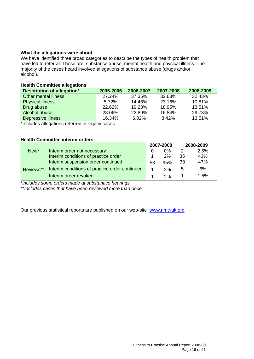## **What the allegations were about**

We have identified three broad categories to describe the types of health problem that have led to referral. These are: substance abuse, mental health and physical illness. The majority of the cases heard involved allegations of substance abuse (drugs and/or alcohol).

## **Health Committee allegations**

| Description of allegation* | 2005-2006 | 2006-2007 | 2007-2008 | 2008-2009 |
|----------------------------|-----------|-----------|-----------|-----------|
| Other mental illness       | 27.24%    | 37.35%    | 32.63%    | 32.43%    |
| <b>Physical illness</b>    | 5.72%     | 14.46%    | 23.16%    | 10.81%    |
| Drug abuse                 | 22.62%    | 19.28%    | 18.95%    | 13.51%    |
| Alcohol abuse              | 28.06%    | 22.89%    | 16.84%    | 29.73%    |
| Depressive illness         | 16.34%    | 6.02%     | 8.42%     | 13.51%    |

\*Includes allegations referred in legacy cases

# **Health Committee interim orders**

|                  |                                                |    | 2007-2008 |    | 2008-2009 |
|------------------|------------------------------------------------|----|-----------|----|-----------|
| New <sup>*</sup> | Interim order not necessary                    |    | $0\%$     | 2  | 2.5%      |
|                  | Interim conditions of practice order           |    | 2%        | 35 | 43%       |
|                  | Interim suspension order continued             | 53 | 95%       | 38 | 47%       |
| Reviews**        | Interim conditions of practice order continued |    | 2%        | 5  | 6%        |
|                  | Interim order revoked                          |    | 2%        |    | 1.5%      |

*\*includes some orders made at substantive hearings*

*\*\*Includes cases that have been reviewed more than once*

Our previous statistical reports are published on our web-site www.nmc-uk.org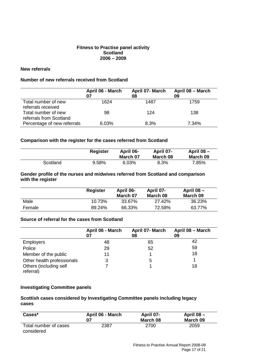## **Fitness to Practise panel activity Scotland 2006 – 2009**

# **New referrals**

# **Number of new referrals received from Scotland**

|                                                | April 06 - March<br>07 | April 07- March<br>08 | April 08 - March<br>09 |
|------------------------------------------------|------------------------|-----------------------|------------------------|
| Total number of new<br>referrals received      | 1624                   | 1487                  | 1759                   |
| Total number of new<br>referrals from Scotland | 98                     | 124                   | 138                    |
| Percentage of new referrals                    | 6.03%                  | 8.3%                  | 7.34%                  |

## **Comparison with the register for the cases referred from Scotland**

|          | <b>Register</b> | April 06-<br>March 07 | April 07-<br>March 08 | April 08 -<br>March 09 |
|----------|-----------------|-----------------------|-----------------------|------------------------|
| Scotland | 9.58%           | 6.03%                 | 8.3%                  | 7.85%                  |

## **Gender profile of the nurses and midwives referred from Scotland and comparison with the register**

|        | Register | April 06-<br>March 07 | April 07-<br>March 08 | April $08 -$<br>March 09 |
|--------|----------|-----------------------|-----------------------|--------------------------|
| Male   | 10.73%   | 33.67%                | 27.42%                | 36.23%                   |
| Female | 89.24%   | 66.33%                | 72.58%                | 63.77%                   |

## **Source of referral for the cases from Scotland**

|                                     | April 06 - March<br>07 | April 07- March<br>08 | April 08 - March<br>09 |
|-------------------------------------|------------------------|-----------------------|------------------------|
| Employers                           | 48                     | 65                    | 42                     |
| Police                              | 29                     | 52                    | 59                     |
| Member of the public                | 11                     |                       | 18                     |
| Other health professionals          | 3                      | 5                     |                        |
| Others (including self<br>referral) |                        |                       | 18                     |

## **Investigating Committee panels**

# **Scottish cases considered by Investigating Committee panels including legacy cases**

| Cases*                              | April 06 - March | April 07-<br>March 08 | April 08 -<br>March 09 |
|-------------------------------------|------------------|-----------------------|------------------------|
| Total number of cases<br>considered | 2387             | 2700                  | 2059                   |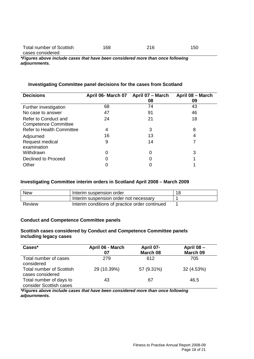| Total number of Scottish | 168 | 216 | 150 |
|--------------------------|-----|-----|-----|
| cases considered         |     |     |     |

*\*Figures above include cases that have been considered more than once following adjournments.*

# **Investigating Committee panel decisions for the cases from Scotland**

| <b>Decisions</b>                 | April 06- March 07 | April 07 - March | April 08 - March |
|----------------------------------|--------------------|------------------|------------------|
|                                  |                    | 08               | 09               |
| Further investigation            | 68                 | 74               | 43               |
| No case to answer                | 47                 | 91               | 46               |
| Refer to Conduct and             | 24                 | 21               | 18               |
| <b>Competence Committee</b>      |                    |                  |                  |
| <b>Refer to Health Committee</b> | 4                  | 3                | 8                |
| Adjourned                        | 16                 | 13               | 4                |
| Request medical                  | 9                  | 14               |                  |
| examination                      |                    |                  |                  |
| Withdrawn                        | 0                  | 0                | 3                |
| Declined to Proceed              | 0                  |                  |                  |
| Other                            |                    |                  |                  |

## **Investigating Committee interim orders in Scotland April 2008 – March 2009**

| <b>New</b> | Interim suspension order                       | 18 |
|------------|------------------------------------------------|----|
|            | Interim suspension order not necessary         |    |
| Review     | Interim conditions of practice order continued |    |

#### **Conduct and Competence Committee panels**

#### **Scottish cases considered by Conduct and Competence Committee panels including legacy cases**

| Cases*                                              | April 06 - March<br>07 | April 07-<br>March 08 | April 08 -<br>March 09 |
|-----------------------------------------------------|------------------------|-----------------------|------------------------|
| Total number of cases<br>considered                 | 279                    | 612                   | 705                    |
| <b>Total number of Scottish</b><br>cases considered | 29 (10.39%)            | 57 (9.31%)            | 32 (4.53%)             |
| Total number of days to<br>consider Scottish cases  | 43                     | 67                    | 46.5                   |

*\*Figures above include cases that have been considered more than once following adjournments.*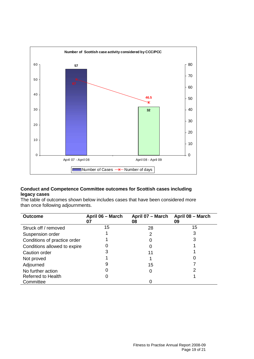

# **Conduct and Competence Committee outcomes for Scottish cases including legacy cases**

The table of outcomes shown below includes cases that have been considered more than once following adjournments.

| <b>Outcome</b>               | April 06 - March<br>07 | April 07 - March<br>08 | April 08 - March<br>09 |
|------------------------------|------------------------|------------------------|------------------------|
| Struck off / removed         | 15                     | 28                     | 15                     |
| Suspension order             |                        | 2                      | 3                      |
| Conditions of practice order |                        |                        |                        |
| Conditions allowed to expire |                        |                        |                        |
| Caution order                |                        | 11                     |                        |
| Not proved                   |                        |                        |                        |
| Adjourned                    | 9                      | 15                     |                        |
| No further action            |                        |                        |                        |
| <b>Referred to Health</b>    |                        |                        |                        |
| Committee                    |                        |                        |                        |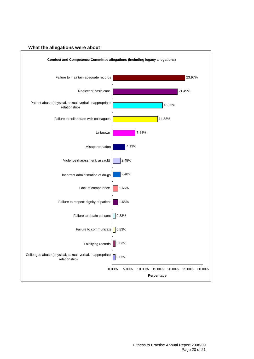